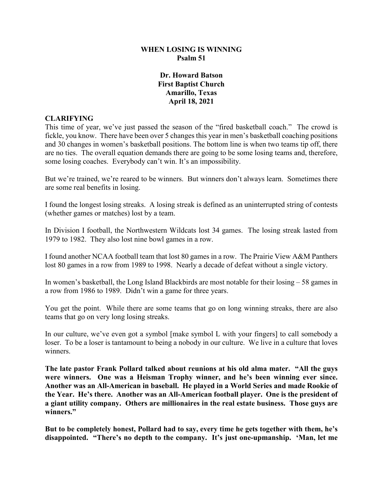### **WHEN LOSING IS WINNING Psalm 51**

# **Dr. Howard Batson First Baptist Church Amarillo, Texas April 18, 2021**

# **CLARIFYING**

This time of year, we've just passed the season of the "fired basketball coach." The crowd is fickle, you know. There have been over 5 changes this year in men's basketball coaching positions and 30 changes in women's basketball positions. The bottom line is when two teams tip off, there are no ties. The overall equation demands there are going to be some losing teams and, therefore, some losing coaches. Everybody can't win. It's an impossibility.

But we're trained, we're reared to be winners. But winners don't always learn. Sometimes there are some real benefits in losing.

I found the longest losing streaks. A losing streak is defined as an uninterrupted string of contests (whether games or matches) lost by a team.

In Division I football, the Northwestern Wildcats lost 34 games. The losing streak lasted from 1979 to 1982. They also lost nine bowl games in a row.

I found another NCAA football team that lost 80 games in a row. The Prairie View A&M Panthers lost 80 games in a row from 1989 to 1998. Nearly a decade of defeat without a single victory.

In women's basketball, the Long Island Blackbirds are most notable for their losing – 58 games in a row from 1986 to 1989. Didn't win a game for three years.

You get the point. While there are some teams that go on long winning streaks, there are also teams that go on very long losing streaks.

In our culture, we've even got a symbol [make symbol L with your fingers] to call somebody a loser. To be a loser is tantamount to being a nobody in our culture. We live in a culture that loves winners.

**The late pastor Frank Pollard talked about reunions at his old alma mater. "All the guys were winners. One was a Heisman Trophy winner, and he's been winning ever since. Another was an All-American in baseball. He played in a World Series and made Rookie of the Year. He's there. Another was an All-American football player. One is the president of a giant utility company. Others are millionaires in the real estate business. Those guys are winners."** 

**But to be completely honest, Pollard had to say, every time he gets together with them, he's disappointed. "There's no depth to the company. It's just one-upmanship. 'Man, let me**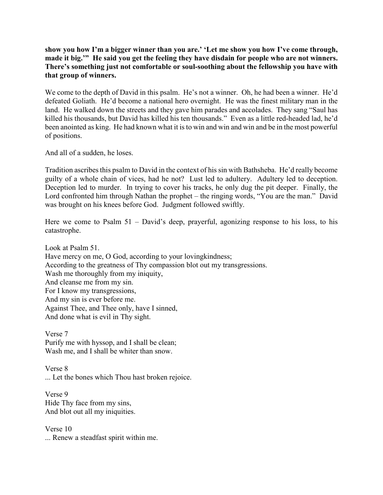# **show you how I'm a bigger winner than you are.' 'Let me show you how I've come through, made it big.'" He said you get the feeling they have disdain for people who are not winners. There's something just not comfortable or soul-soothing about the fellowship you have with that group of winners.**

We come to the depth of David in this psalm. He's not a winner. Oh, he had been a winner. He'd defeated Goliath. He'd become a national hero overnight. He was the finest military man in the land. He walked down the streets and they gave him parades and accolades. They sang "Saul has killed his thousands, but David has killed his ten thousands." Even as a little red-headed lad, he'd been anointed as king. He had known what it is to win and win and win and be in the most powerful of positions.

And all of a sudden, he loses.

Tradition ascribes this psalm to David in the context of his sin with Bathsheba. He'd really become guilty of a whole chain of vices, had he not? Lust led to adultery. Adultery led to deception. Deception led to murder. In trying to cover his tracks, he only dug the pit deeper. Finally, the Lord confronted him through Nathan the prophet – the ringing words, "You are the man." David was brought on his knees before God. Judgment followed swiftly.

Here we come to Psalm 51 – David's deep, prayerful, agonizing response to his loss, to his catastrophe.

Look at Psalm 51. Have mercy on me, O God, according to your lovingkindness; According to the greatness of Thy compassion blot out my transgressions. Wash me thoroughly from my iniquity, And cleanse me from my sin. For I know my transgressions, And my sin is ever before me. Against Thee, and Thee only, have I sinned, And done what is evil in Thy sight.

Verse 7 Purify me with hyssop, and I shall be clean; Wash me, and I shall be whiter than snow.

Verse 8 ... Let the bones which Thou hast broken rejoice.

Verse 9 Hide Thy face from my sins, And blot out all my iniquities.

Verse 10 ... Renew a steadfast spirit within me.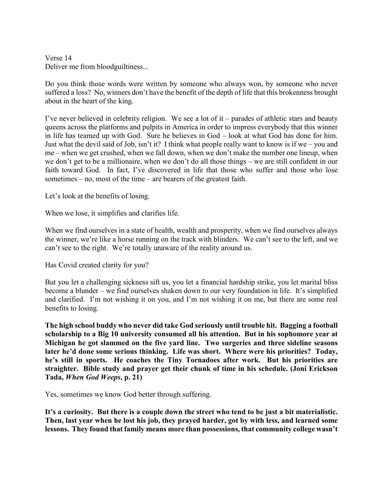Verse 14 Deliver me from bloodguiltiness...

Do you think those words were written by someone who always won, by someone who never suffered a loss? No, winners don't have the benefit of the depth of life that this brokenness brought about in the heart of the king.

I've never believed in celebrity religion. We see a lot of it – parades of athletic stars and beauty queens across the platforms and pulpits in America in order to impress everybody that this winner in life has teamed up with God. Sure he believes in God – look at what God has done for him. Just what the devil said of Job, isn't it? I think what people really want to know is if we – you and me – when we get crushed, when we fall down, when we don't make the number one lineup, when we don't get to be a millionaire, when we don't do all those things – we are still confident in our faith toward God. In fact, I've discovered in life that those who suffer and those who lose sometimes – no, most of the time – are bearers of the greatest faith.

Let's look at the benefits of losing.

When we lose, it simplifies and clarifies life.

When we find ourselves in a state of health, wealth and prosperity, when we find ourselves always the winner, we're like a horse running on the track with blinders. We can't see to the left, and we can't see to the right. We're totally unaware of the reality around us.

Has Covid created clarity for you?

But you let a challenging sickness sift us, you let a financial hardship strike, you let marital bliss become a blunder – we find ourselves shaken down to our very foundation in life. It's simplified and clarified. I'm not wishing it on you, and I'm not wishing it on me, but there are some real benefits to losing.

**The high school buddy who never did take God seriously until trouble hit. Bagging a football scholarship to a Big 10 university consumed all his attention. But in his sophomore year at Michigan he got slammed on the five yard line. Two surgeries and three sideline seasons later he'd done some serious thinking. Life was short. Where were his priorities? Today, he's still in sports. He coaches the Tiny Tornadoes after work. But his priorities are straighter. Bible study and prayer get their chunk of time in his schedule. (Joni Erickson Tada,** *When God Weeps***, p. 21)**

Yes, sometimes we know God better through suffering.

**It's a curiosity. But there is a couple down the street who tend to be just a bit materialistic. Then, last year when he lost his job, they prayed harder, got by with less, and learned some lessons. They found that family means more than possessions, that community college wasn't**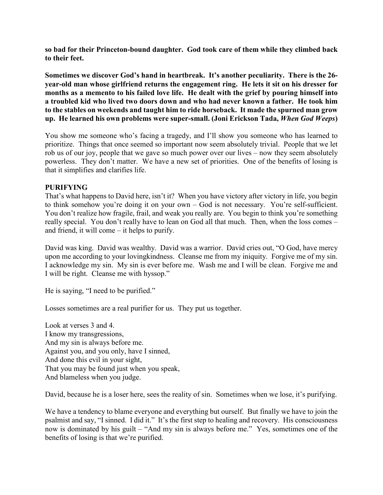**so bad for their Princeton-bound daughter. God took care of them while they climbed back to their feet.**

**Sometimes we discover God's hand in heartbreak. It's another peculiarity. There is the 26 year-old man whose girlfriend returns the engagement ring. He lets it sit on his dresser for months as a memento to his failed love life. He dealt with the grief by pouring himself into a troubled kid who lived two doors down and who had never known a father. He took him to the stables on weekends and taught him to ride horseback. It made the spurned man grow up. He learned his own problems were super-small. (Joni Erickson Tada,** *When God Weeps***)**

You show me someone who's facing a tragedy, and I'll show you someone who has learned to prioritize. Things that once seemed so important now seem absolutely trivial. People that we let rob us of our joy, people that we gave so much power over our lives – now they seem absolutely powerless. They don't matter. We have a new set of priorities. One of the benefits of losing is that it simplifies and clarifies life.

#### **PURIFYING**

That's what happens to David here, isn't it? When you have victory after victory in life, you begin to think somehow you're doing it on your own – God is not necessary. You're self-sufficient. You don't realize how fragile, frail, and weak you really are. You begin to think you're something really special. You don't really have to lean on God all that much. Then, when the loss comes – and friend, it will come – it helps to purify.

David was king. David was wealthy. David was a warrior. David cries out, "O God, have mercy upon me according to your lovingkindness. Cleanse me from my iniquity. Forgive me of my sin. I acknowledge my sin. My sin is ever before me. Wash me and I will be clean. Forgive me and I will be right. Cleanse me with hyssop."

He is saying, "I need to be purified."

Losses sometimes are a real purifier for us. They put us together.

Look at verses 3 and 4. I know my transgressions, And my sin is always before me. Against you, and you only, have I sinned, And done this evil in your sight, That you may be found just when you speak, And blameless when you judge.

David, because he is a loser here, sees the reality of sin. Sometimes when we lose, it's purifying.

We have a tendency to blame everyone and everything but ourself. But finally we have to join the psalmist and say, "I sinned. I did it." It's the first step to healing and recovery. His consciousness now is dominated by his guilt – "And my sin is always before me." Yes, sometimes one of the benefits of losing is that we're purified.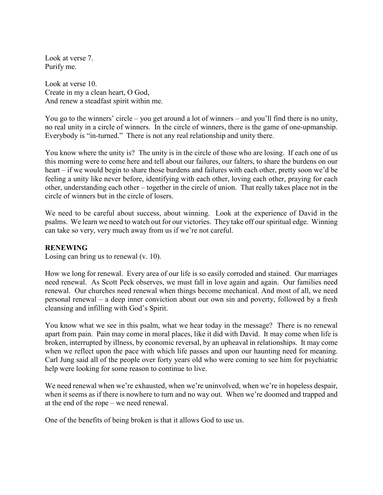Look at verse 7. Purify me.

Look at verse 10. Create in my a clean heart, O God, And renew a steadfast spirit within me.

You go to the winners' circle – you get around a lot of winners – and you'll find there is no unity, no real unity in a circle of winners. In the circle of winners, there is the game of one-upmanship. Everybody is "in-turned." There is not any real relationship and unity there.

You know where the unity is? The unity is in the circle of those who are losing. If each one of us this morning were to come here and tell about our failures, our falters, to share the burdens on our heart – if we would begin to share those burdens and failures with each other, pretty soon we'd be feeling a unity like never before, identifying with each other, loving each other, praying for each other, understanding each other – together in the circle of union. That really takes place not in the circle of winners but in the circle of losers.

We need to be careful about success, about winning. Look at the experience of David in the psalms. We learn we need to watch out for our victories. They take off our spiritual edge. Winning can take so very, very much away from us if we're not careful.

#### **RENEWING**

Losing can bring us to renewal (v. 10).

How we long for renewal. Every area of our life is so easily corroded and stained. Our marriages need renewal. As Scott Peck observes, we must fall in love again and again. Our families need renewal. Our churches need renewal when things become mechanical. And most of all, we need personal renewal – a deep inner conviction about our own sin and poverty, followed by a fresh cleansing and infilling with God's Spirit.

You know what we see in this psalm, what we hear today in the message? There is no renewal apart from pain. Pain may come in moral places, like it did with David. It may come when life is broken, interrupted by illness, by economic reversal, by an upheaval in relationships. It may come when we reflect upon the pace with which life passes and upon our haunting need for meaning. Carl Jung said all of the people over forty years old who were coming to see him for psychiatric help were looking for some reason to continue to live.

We need renewal when we're exhausted, when we're uninvolved, when we're in hopeless despair, when it seems as if there is nowhere to turn and no way out. When we're doomed and trapped and at the end of the rope – we need renewal.

One of the benefits of being broken is that it allows God to use us.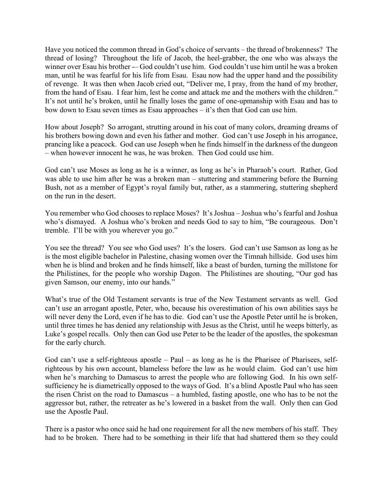Have you noticed the common thread in God's choice of servants – the thread of brokenness? The thread of losing? Throughout the life of Jacob, the heel-grabber, the one who was always the winner over Esau his brother -- God couldn't use him. God couldn't use him until he was a broken man, until he was fearful for his life from Esau. Esau now had the upper hand and the possibility of revenge. It was then when Jacob cried out, "Deliver me, I pray, from the hand of my brother, from the hand of Esau. I fear him, lest he come and attack me and the mothers with the children." It's not until he's broken, until he finally loses the game of one-upmanship with Esau and has to bow down to Esau seven times as Esau approaches – it's then that God can use him.

How about Joseph? So arrogant, strutting around in his coat of many colors, dreaming dreams of his brothers bowing down and even his father and mother. God can't use Joseph in his arrogance, prancing like a peacock. God can use Joseph when he finds himself in the darkness of the dungeon – when however innocent he was, he was broken. Then God could use him.

God can't use Moses as long as he is a winner, as long as he's in Pharaoh's court. Rather, God was able to use him after he was a broken man – stuttering and stammering before the Burning Bush, not as a member of Egypt's royal family but, rather, as a stammering, stuttering shepherd on the run in the desert.

You remember who God chooses to replace Moses? It's Joshua – Joshua who's fearful and Joshua who's dismayed. A Joshua who's broken and needs God to say to him, "Be courageous. Don't tremble. I'll be with you wherever you go."

You see the thread? You see who God uses? It's the losers. God can't use Samson as long as he is the most eligible bachelor in Palestine, chasing women over the Timnah hillside. God uses him when he is blind and broken and he finds himself, like a beast of burden, turning the millstone for the Philistines, for the people who worship Dagon. The Philistines are shouting, "Our god has given Samson, our enemy, into our hands."

What's true of the Old Testament servants is true of the New Testament servants as well. God can't use an arrogant apostle, Peter, who, because his overestimation of his own abilities says he will never deny the Lord, even if he has to die. God can't use the Apostle Peter until he is broken, until three times he has denied any relationship with Jesus as the Christ, until he weeps bitterly, as Luke's gospel recalls. Only then can God use Peter to be the leader of the apostles, the spokesman for the early church.

God can't use a self-righteous apostle  $-$  Paul  $-$  as long as he is the Pharisee of Pharisees, selfrighteous by his own account, blameless before the law as he would claim. God can't use him when he's marching to Damascus to arrest the people who are following God. In his own selfsufficiency he is diametrically opposed to the ways of God. It's a blind Apostle Paul who has seen the risen Christ on the road to Damascus – a humbled, fasting apostle, one who has to be not the aggressor but, rather, the retreater as he's lowered in a basket from the wall. Only then can God use the Apostle Paul.

There is a pastor who once said he had one requirement for all the new members of his staff. They had to be broken. There had to be something in their life that had shattered them so they could